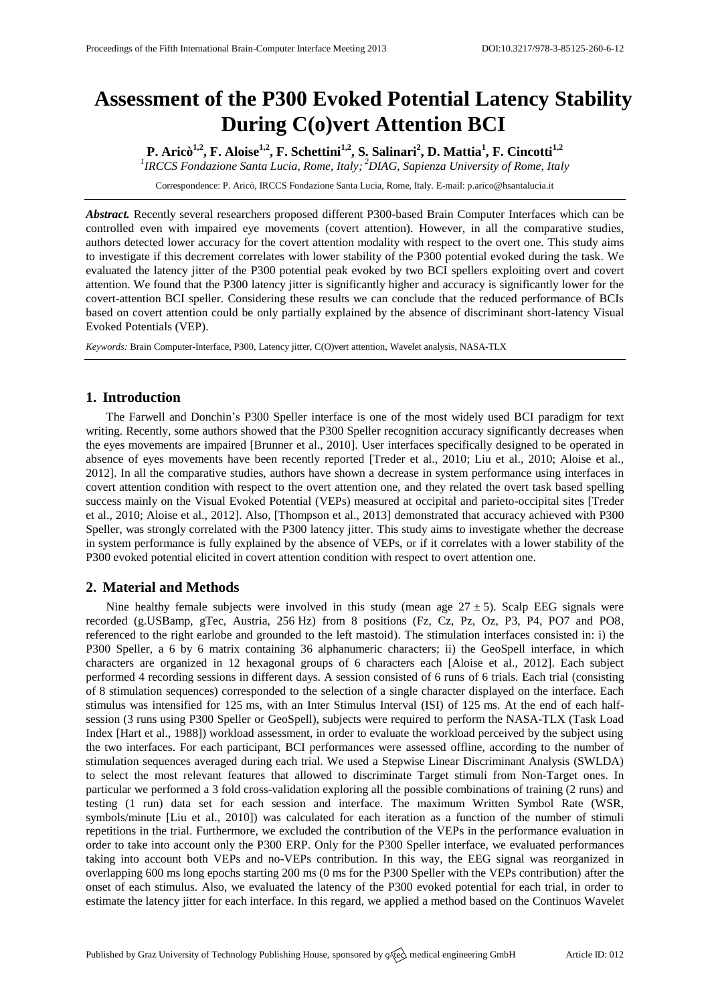# **Assessment of the P300 Evoked Potential Latency Stability During C(o)vert Attention BCI**

**P. Aricò1,2 , F. Aloise1,2, F. Schettini1,2 , S. Salinari<sup>2</sup> , D. Mattia<sup>1</sup> , F. Cincotti1,2**

*1 IRCCS Fondazione Santa Lucia, Rome, Italy; <sup>2</sup>DIAG, Sapienza University of Rome, Italy*

Correspondence: P. Aricò, IRCCS Fondazione Santa Lucia, Rome, Italy. E-mail[: p.arico@hsantalucia.it](mailto:p.arico@hsantalucia.it)

*Abstract.* Recently several researchers proposed different P300-based Brain Computer Interfaces which can be controlled even with impaired eye movements (covert attention). However, in all the comparative studies, authors detected lower accuracy for the covert attention modality with respect to the overt one. This study aims to investigate if this decrement correlates with lower stability of the P300 potential evoked during the task. We evaluated the latency jitter of the P300 potential peak evoked by two BCI spellers exploiting overt and covert attention. We found that the P300 latency jitter is significantly higher and accuracy is significantly lower for the covert-attention BCI speller. Considering these results we can conclude that the reduced performance of BCIs based on covert attention could be only partially explained by the absence of discriminant short-latency Visual Evoked Potentials (VEP).

*Keywords:* Brain Computer-Interface, P300, Latency jitter, C(O)vert attention, Wavelet analysis, NASA-TLX

## **1. Introduction**

The Farwell and Donchin's P300 Speller interface is one of the most widely used BCI paradigm for text writing. Recently, some authors showed that the P300 Speller recognition accuracy significantly decreases when the eyes movements are impaired [Brunner et al., 2010]. User interfaces specifically designed to be operated in absence of eyes movements have been recently reported [Treder et al., 2010; Liu et al., 2010; Aloise et al., 2012]. In all the comparative studies, authors have shown a decrease in system performance using interfaces in covert attention condition with respect to the overt attention one, and they related the overt task based spelling success mainly on the Visual Evoked Potential (VEPs) measured at occipital and parieto-occipital sites [Treder et al., 2010; Aloise et al., 2012]. Also, [Thompson et al., 2013] demonstrated that accuracy achieved with P300 Speller, was strongly correlated with the P300 latency jitter. This study aims to investigate whether the decrease in system performance is fully explained by the absence of VEPs, or if it correlates with a lower stability of the P300 evoked potential elicited in covert attention condition with respect to overt attention one.

## **2. Material and Methods**

Nine healthy female subjects were involved in this study (mean age  $27 \pm 5$ ). Scalp EEG signals were recorded (g.USBamp, gTec, Austria, 256 Hz) from 8 positions (Fz, Cz, Pz, Oz, P3, P4, PO7 and PO8, referenced to the right earlobe and grounded to the left mastoid). The stimulation interfaces consisted in: i) the P300 Speller, a 6 by 6 matrix containing 36 alphanumeric characters; ii) the GeoSpell interface, in which characters are organized in 12 hexagonal groups of 6 characters each [Aloise et al., 2012]. Each subject performed 4 recording sessions in different days. A session consisted of 6 runs of 6 trials. Each trial (consisting of 8 stimulation sequences) corresponded to the selection of a single character displayed on the interface. Each stimulus was intensified for 125 ms, with an Inter Stimulus Interval (ISI) of 125 ms. At the end of each halfsession (3 runs using P300 Speller or GeoSpell), subjects were required to perform the NASA-TLX (Task Load Index [Hart et al., 1988]) workload assessment, in order to evaluate the workload perceived by the subject using the two interfaces. For each participant, BCI performances were assessed offline, according to the number of stimulation sequences averaged during each trial. We used a Stepwise Linear Discriminant Analysis (SWLDA) to select the most relevant features that allowed to discriminate Target stimuli from Non-Target ones. In particular we performed a 3 fold cross-validation exploring all the possible combinations of training (2 runs) and testing (1 run) data set for each session and interface. The maximum Written Symbol Rate (WSR, symbols/minute [Liu et al., 2010]) was calculated for each iteration as a function of the number of stimuli repetitions in the trial. Furthermore, we excluded the contribution of the VEPs in the performance evaluation in order to take into account only the P300 ERP. Only for the P300 Speller interface, we evaluated performances taking into account both VEPs and no-VEPs contribution. In this way, the EEG signal was reorganized in overlapping 600 ms long epochs starting 200 ms (0 ms for the P300 Speller with the VEPs contribution) after the onset of each stimulus. Also, we evaluated the latency of the P300 evoked potential for each trial, in order to estimate the latency jitter for each interface. In this regard, we applied a method based on the Continuos Wavelet